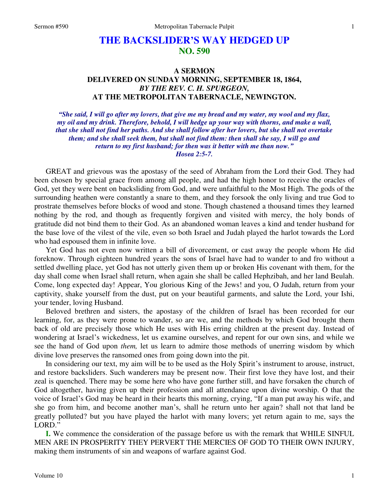## **THE BACKSLIDER'S WAY HEDGED UP NO. 590**

## **A SERMON DELIVERED ON SUNDAY MORNING, SEPTEMBER 18, 1864,**  *BY THE REV. C. H. SPURGEON,*  **AT THE METROPOLITAN TABERNACLE, NEWINGTON.**

*"She said, I will go after my lovers, that give me my bread and my water, my wool and my flax, my oil and my drink. Therefore, behold, I will hedge up your way with thorns, and make a wall, that she shall not find her paths. And she shall follow after her lovers, but she shall not overtake them; and she shall seek them, but shall not find them: then shall she say, I will go and return to my first husband; for then was it better with me than now." Hosea 2:5-7.* 

GREAT and grievous was the apostasy of the seed of Abraham from the Lord their God. They had been chosen by special grace from among all people, and had the high honor to receive the oracles of God, yet they were bent on backsliding from God, and were unfaithful to the Most High. The gods of the surrounding heathen were constantly a snare to them, and they forsook the only living and true God to prostrate themselves before blocks of wood and stone. Though chastened a thousand times they learned nothing by the rod, and though as frequently forgiven and visited with mercy, the holy bonds of gratitude did not bind them to their God. As an abandoned woman leaves a kind and tender husband for the base love of the vilest of the vile, even so both Israel and Judah played the harlot towards the Lord who had espoused them in infinite love.

Yet God has not even now written a bill of divorcement, or cast away the people whom He did foreknow. Through eighteen hundred years the sons of Israel have had to wander to and fro without a settled dwelling place, yet God has not utterly given them up or broken His covenant with them, for the day shall come when Israel shall return, when again she shall be called Hephzibah, and her land Beulah. Come, long expected day! Appear, You glorious King of the Jews! and you, O Judah, return from your captivity, shake yourself from the dust, put on your beautiful garments, and salute the Lord, your Ishi, your tender, loving Husband.

Beloved brethren and sisters, the apostasy of the children of Israel has been recorded for our learning, for, as they were prone to wander, so are we, and the methods by which God brought them back of old are precisely those which He uses with His erring children at the present day. Instead of wondering at Israel's wickedness, let us examine ourselves, and repent for our own sins, and while we see the hand of God upon *them,* let us learn to admire those methods of unerring wisdom by which divine love preserves the ransomed ones from going down into the pit.

In considering our text, my aim will be to be used as the Holy Spirit's instrument to arouse, instruct, and restore backsliders. Such wanderers may be present now. Their first love they have lost, and their zeal is quenched. There may be some here who have gone further still, and have forsaken the church of God altogether, having given up their profession and all attendance upon divine worship. O that the voice of Israel's God may be heard in their hearts this morning, crying, "If a man put away his wife, and she go from him, and become another man's, shall he return unto her again? shall not that land be greatly polluted? but you have played the harlot with many lovers; yet return again to me, says the LORD."

**I.** We commence the consideration of the passage before us with the remark that WHILE SINFUL MEN ARE IN PROSPERITY THEY PERVERT THE MERCIES OF GOD TO THEIR OWN INJURY, making them instruments of sin and weapons of warfare against God.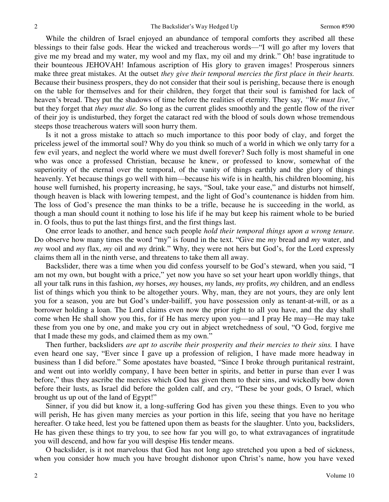While the children of Israel enjoyed an abundance of temporal comforts they ascribed all these blessings to their false gods. Hear the wicked and treacherous words—"I will go after my lovers that give me my bread and my water, my wool and my flax, my oil and my drink." Oh! base ingratitude to their bounteous JEHOVAH! Infamous ascription of His glory to graven images! Prosperous sinners make three great mistakes. At the outset *they give their temporal mercies the first place in their hearts.*  Because their business prospers, they do not consider that their soul is perishing, because there is enough on the table for themselves and for their children, they forget that their soul is famished for lack of heaven's bread. They put the shadows of time before the realities of eternity. They say, *"We must live,"* but they forget that *they must die.* So long as the current glides smoothly and the gentle flow of the river of their joy is undisturbed, they forget the cataract red with the blood of souls down whose tremendous steeps those treacherous waters will soon hurry them.

Is it not a gross mistake to attach so much importance to this poor body of clay, and forget the priceless jewel of the immortal soul? Why do you think so much of a world in which we only tarry for a few evil years, and neglect the world where we must dwell forever? Such folly is most shameful in one who was once a professed Christian, because he knew, or professed to know, somewhat of the superiority of the eternal over the temporal, of the vanity of things earthly and the glory of things heavenly. Yet because things go well with him—because his wife is in health, his children blooming, his house well furnished, his property increasing, he says, "Soul, take your ease," and disturbs not himself, though heaven is black with lowering tempest, and the light of God's countenance is hidden from him. The loss of God's presence the man thinks to be a trifle, because he is succeeding in the world, as though a man should count it nothing to lose his life if he may but keep his raiment whole to be buried in. O fools, thus to put the last things first, and the first things last.

One error leads to another, and hence such people *hold their temporal things upon a wrong tenure.* Do observe how many times the word "my" is found in the text. "Give me *my* bread and *my* water, and *my* wool and *my* flax, *my* oil and *my* drink." Why, they were not hers but God's, for the Lord expressly claims them all in the ninth verse, and threatens to take them all away.

Backslider, there was a time when you did confess yourself to be God's steward, when you said, "I am not my own, but bought with a price," yet now you have so set your heart upon worldly things, that all your talk runs in this fashion, *my* horses, *my* houses, *my* lands, *my* profits, *my* children, and an endless list of things which you think to be altogether yours. Why, man, they are not yours, they are only lent you for a season, you are but God's under-bailiff, you have possession only as tenant-at-will, or as a borrower holding a loan. The Lord claims even now the prior right to all you have, and the day shall come when He shall show you this, for if He has mercy upon you—and I pray He may—He may take these from you one by one, and make you cry out in abject wretchedness of soul, "O God, forgive me that I made these my gods, and claimed them as my own."

Then further, backsliders *are apt to ascribe their prosperity and their mercies to their sins.* I have even heard one say, "Ever since I gave up a profession of religion, I have made more headway in business than I did before." Some apostates have boasted, "Since I broke through puritanical restraint, and went out into worldly company, I have been better in spirits, and better in purse than ever I was before," thus they ascribe the mercies which God has given them to their sins, and wickedly bow down before their lusts, as Israel did before the golden calf, and cry, "These be your gods, O Israel, which brought us up out of the land of Egypt!"

Sinner, if you did but know it, a long-suffering God has given you these things. Even to you who will perish, He has given many mercies as your portion in this life, seeing that you have no heritage hereafter. O take heed, lest you be fattened upon them as beasts for the slaughter. Unto you, backsliders, He has given these things to try you, to see how far you will go, to what extravagances of ingratitude you will descend, and how far you will despise His tender means.

O backslider, is it not marvelous that God has not long ago stretched you upon a bed of sickness, when you consider how much you have brought dishonor upon Christ's name, how you have vexed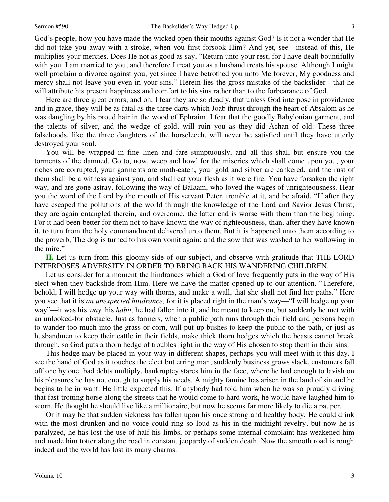God's people, how you have made the wicked open their mouths against God? Is it not a wonder that He did not take you away with a stroke, when you first forsook Him? And yet, see—instead of this, He multiplies your mercies. Does He not as good as say, "Return unto your rest, for I have dealt bountifully with you. I am married to you, and therefore I treat you as a husband treats his spouse. Although I might well proclaim a divorce against you, yet since I have betrothed you unto Me forever, My goodness and mercy shall not leave you even in your sins." Herein lies the gross mistake of the backslider—that he will attribute his present happiness and comfort to his sins rather than to the forbearance of God.

Here are three great errors, and oh, I fear they are so deadly, that unless God interpose in providence and in grace, they will be as fatal as the three darts which Joab thrust through the heart of Absalom as he was dangling by his proud hair in the wood of Ephraim. I fear that the goodly Babylonian garment, and the talents of silver, and the wedge of gold, will ruin you as they did Achan of old. These three falsehoods, like the three daughters of the horseleech, will never be satisfied until they have utterly destroyed your soul.

You will be wrapped in fine linen and fare sumptuously, and all this shall but ensure you the torments of the damned. Go to, now, weep and howl for the miseries which shall come upon you, your riches are corrupted, your garments are moth-eaten, your gold and silver are cankered, and the rust of them shall be a witness against you, and shall eat your flesh as it were fire. You have forsaken the right way, and are gone astray, following the way of Balaam, who loved the wages of unrighteousness. Hear you the word of the Lord by the mouth of His servant Peter, tremble at it, and be afraid, "If after they have escaped the pollutions of the world through the knowledge of the Lord and Savior Jesus Christ, they are again entangled therein, and overcome, the latter end is worse with them than the beginning. For it had been better for them not to have known the way of righteousness, than, after they have known it, to turn from the holy commandment delivered unto them. But it is happened unto them according to the proverb, The dog is turned to his own vomit again; and the sow that was washed to her wallowing in the mire."

**II.** Let us turn from this gloomy side of our subject, and observe with gratitude that THE LORD INTERPOSES ADVERSITY IN ORDER TO BRING BACK HIS WANDERING CHILDREN.

Let us consider for a moment the hindrances which a God of love frequently puts in the way of His elect when they backslide from Him. Here we have the matter opened up to our attention. "Therefore, behold, I will hedge up your way with thorns, and make a wall, that she shall not find her paths." Here you see that it is *an unexpected hindrance,* for it is placed right in the man's way—"I will hedge up your way"—it was his *way,* his *habit,* he had fallen into it, and he meant to keep on, but suddenly he met with an unlooked-for obstacle. Just as farmers, when a public path runs through their field and persons begin to wander too much into the grass or corn, will put up bushes to keep the public to the path, or just as husbandmen to keep their cattle in their fields, make thick thorn hedges which the beasts cannot break through, so God puts a thorn hedge of troubles right in the way of His chosen to stop them in their sins.

This hedge may be placed in your way in different shapes, perhaps you will meet with it this day. I see the hand of God as it touches the elect but erring man, suddenly business grows slack, customers fall off one by one, bad debts multiply, bankruptcy stares him in the face, where he had enough to lavish on his pleasures he has not enough to supply his needs. A mighty famine has arisen in the land of sin and he begins to be in want. He little expected this. If anybody had told him when he was so proudly driving that fast-trotting horse along the streets that he would come to hard work, he would have laughed him to scorn. He thought he should live like a millionaire, but now he seems far more likely to die a pauper.

Or it may be that sudden sickness has fallen upon his once strong and healthy body. He could drink with the most drunken and no voice could ring so loud as his in the midnight revelry, but now he is paralyzed, he has lost the use of half his limbs, or perhaps some internal complaint has weakened him and made him totter along the road in constant jeopardy of sudden death. Now the smooth road is rough indeed and the world has lost its many charms.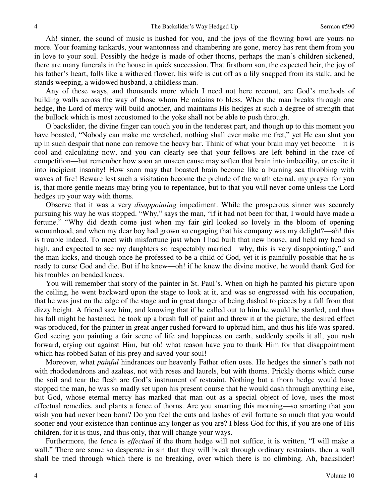Ah! sinner, the sound of music is hushed for you, and the joys of the flowing bowl are yours no more. Your foaming tankards, your wantonness and chambering are gone, mercy has rent them from you in love to your soul. Possibly the hedge is made of other thorns, perhaps the man's children sickened, there are many funerals in the house in quick succession. That firstborn son, the expected heir, the joy of his father's heart, falls like a withered flower, his wife is cut off as a lily snapped from its stalk, and he stands weeping, a widowed husband, a childless man.

Any of these ways, and thousands more which I need not here recount, are God's methods of building walls across the way of those whom He ordains to bless. When the man breaks through one hedge, the Lord of mercy will build another, and maintains His hedges at such a degree of strength that the bullock which is most accustomed to the yoke shall not be able to push through.

O backslider, the divine finger can touch you in the tenderest part, and though up to this moment you have boasted, "Nobody can make me wretched, nothing shall ever make me fret," yet He can shut you up in such despair that none can remove the heavy bar. Think of what your brain may yet become—it is cool and calculating now, and you can clearly see that your fellows are left behind in the race of competition—but remember how soon an unseen cause may soften that brain into imbecility, or excite it into incipient insanity! How soon may that boasted brain become like a burning sea throbbing with waves of fire! Beware lest such a visitation become the prelude of the wrath eternal, my prayer for you is, that more gentle means may bring you to repentance, but to that you will never come unless the Lord hedges up your way with thorns.

Observe that it was a very *disappointing* impediment. While the prosperous sinner was securely pursuing his way he was stopped. "Why," says the man, "if it had not been for that, I would have made a fortune." "Why did death come just when my fair girl looked so lovely in the bloom of opening womanhood, and when my dear boy had grown so engaging that his company was my delight?—ah! this is trouble indeed. To meet with misfortune just when I had built that new house, and held my head so high, and expected to see my daughters so respectably married—why, this is very disappointing," and the man kicks, and though once he professed to be a child of God, yet it is painfully possible that he is ready to curse God and die. But if he knew—oh! if he knew the divine motive, he would thank God for his troubles on bended knees.

You will remember that story of the painter in St. Paul's. When on high he painted his picture upon the ceiling, he went backward upon the stage to look at it, and was so engrossed with his occupation, that he was just on the edge of the stage and in great danger of being dashed to pieces by a fall from that dizzy height. A friend saw him, and knowing that if he called out to him he would be startled, and thus his fall might be hastened, he took up a brush full of paint and threw it at the picture, the desired effect was produced, for the painter in great anger rushed forward to upbraid him, and thus his life was spared. God seeing you painting a fair scene of life and happiness on earth, suddenly spoils it all, you rush forward, crying out against Him, but oh! what reason have you to thank Him for that disappointment which has robbed Satan of his prey and saved your soul!

Moreover, what *painful* hindrances our heavenly Father often uses. He hedges the sinner's path not with rhododendrons and azaleas, not with roses and laurels, but with thorns. Prickly thorns which curse the soil and tear the flesh are God's instrument of restraint. Nothing but a thorn hedge would have stopped the man, he was so madly set upon his present course that he would dash through anything else, but God, whose eternal mercy has marked that man out as a special object of love, uses the most effectual remedies, and plants a fence of thorns. Are you smarting this morning—so smarting that you wish you had never been born? Do you feel the cuts and lashes of evil fortune so much that you would sooner end your existence than continue any longer as you are? I bless God for this, if you are one of His children, for it is thus, and thus only, that will change your ways.

Furthermore, the fence is *effectual* if the thorn hedge will not suffice, it is written, "I will make a wall." There are some so desperate in sin that they will break through ordinary restraints, then a wall shall be tried through which there is no breaking, over which there is no climbing. Ah, backslider!

4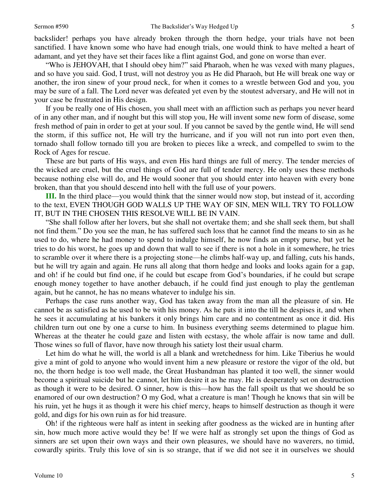backslider! perhaps you have already broken through the thorn hedge, your trials have not been sanctified. I have known some who have had enough trials, one would think to have melted a heart of adamant, and yet they have set their faces like a flint against God, and gone on worse than ever.

"Who is JEHOVAH, that I should obey him?" said Pharaoh, when he was vexed with many plagues, and so have you said. God, I trust, will not destroy you as He did Pharaoh, but He will break one way or another, the iron sinew of your proud neck, for when it comes to a wrestle between God and you, you may be sure of a fall. The Lord never was defeated yet even by the stoutest adversary, and He will not in your case be frustrated in His design.

If you be really one of His chosen, you shall meet with an affliction such as perhaps you never heard of in any other man, and if nought but this will stop you, He will invent some new form of disease, some fresh method of pain in order to get at your soul. If you cannot be saved by the gentle wind, He will send the storm, if this suffice not, He will try the hurricane, and if you will not run into port even then, tornado shall follow tornado till you are broken to pieces like a wreck, and compelled to swim to the Rock of Ages for rescue.

These are but parts of His ways, and even His hard things are full of mercy. The tender mercies of the wicked are cruel, but the cruel things of God are full of tender mercy. He only uses these methods because nothing else will do, and He would sooner that you should enter into heaven with every bone broken, than that you should descend into hell with the full use of your powers.

**III.** In the third place—you would think that the sinner would now stop, but instead of it, according to the text, EVEN THOUGH GOD WALLS UP THE WAY OF SIN, MEN WILL TRY TO FOLLOW IT, BUT IN THE CHOSEN THIS RESOLVE WILL BE IN VAIN.

"She shall follow after her lovers, but she shall not overtake them; and she shall seek them, but shall not find them." Do you see the man, he has suffered such loss that he cannot find the means to sin as he used to do, where he had money to spend to indulge himself, he now finds an empty purse, but yet he tries to do his worst, he goes up and down that wall to see if there is not a hole in it somewhere, he tries to scramble over it where there is a projecting stone—he climbs half-way up, and falling, cuts his hands, but he will try again and again. He runs all along that thorn hedge and looks and looks again for a gap, and oh! if he could but find one, if he could but escape from God's boundaries, if he could but scrape enough money together to have another debauch, if he could find just enough to play the gentleman again, but he cannot, he has no means whatever to indulge his sin.

Perhaps the case runs another way, God has taken away from the man all the pleasure of sin. He cannot be as satisfied as he used to be with his money. As he puts it into the till he despises it, and when he sees it accumulating at his bankers it only brings him care and no contentment as once it did. His children turn out one by one a curse to him. In business everything seems determined to plague him. Whereas at the theater he could gaze and listen with ecstasy, the whole affair is now tame and dull. Those wines so full of flavor, have now through his satiety lost their usual charm.

Let him do what he will, the world is all a blank and wretchedness for him. Like Tiberius he would give a mint of gold to anyone who would invent him a new pleasure or restore the vigor of the old, but no, the thorn hedge is too well made, the Great Husbandman has planted it too well, the sinner would become a spiritual suicide but he cannot, let him desire it as he may. He is desperately set on destruction as though it were to be desired. O sinner, how is this—how has the fall spoilt us that we should be so enamored of our own destruction? O my God, what a creature is man! Though he knows that sin will be his ruin, yet he hugs it as though it were his chief mercy, heaps to himself destruction as though it were gold, and digs for his own ruin as for hid treasure.

Oh! if the righteous were half as intent in seeking after goodness as the wicked are in hunting after sin, how much more active would they be! If we were half as strongly set upon the things of God as sinners are set upon their own ways and their own pleasures, we should have no waverers, no timid, cowardly spirits. Truly this love of sin is so strange, that if we did not see it in ourselves we should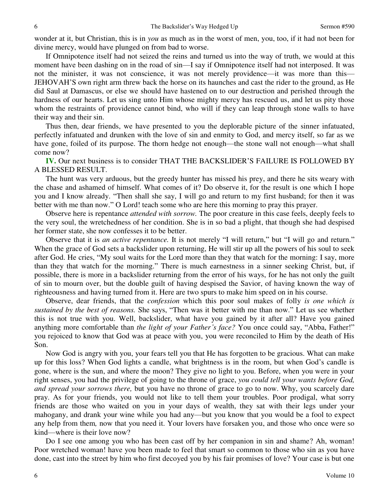wonder at it, but Christian, this is in *you* as much as in the worst of men, you, too, if it had not been for divine mercy, would have plunged on from bad to worse.

If Omnipotence itself had not seized the reins and turned us into the way of truth, we would at this moment have been dashing on in the road of sin—I say if Omnipotence itself had not interposed. It was not the minister, it was not conscience, it was not merely providence—it was more than this— JEHOVAH'S own right arm threw back the horse on its haunches and cast the rider to the ground, as He did Saul at Damascus, or else we should have hastened on to our destruction and perished through the hardness of our hearts. Let us sing unto Him whose mighty mercy has rescued us, and let us pity those whom the restraints of providence cannot bind, who will if they can leap through stone walls to have their way and their sin.

Thus then, dear friends, we have presented to you the deplorable picture of the sinner infatuated, perfectly infatuated and drunken with the love of sin and enmity to God, and mercy itself, so far as we have gone, foiled of its purpose. The thorn hedge not enough—the stone wall not enough—what shall come now?

**IV.** Our next business is to consider THAT THE BACKSLIDER'S FAILURE IS FOLLOWED BY A BLESSED RESULT.

The hunt was very arduous, but the greedy hunter has missed his prey, and there he sits weary with the chase and ashamed of himself. What comes of it? Do observe it, for the result is one which I hope you and I know already. "Then shall she say, I will go and return to my first husband; for then it was better with me than now." O Lord! teach some who are here this morning to pray this prayer.

Observe here is repentance *attended with sorrow.* The poor creature in this case feels, deeply feels to the very soul, the wretchedness of her condition. She is in so bad a plight, that though she had despised her former state, she now confesses it to be better.

Observe that it is *an active repentance.* It is not merely "I will return," but "I will go and return." When the grace of God sets a backslider upon returning, He will stir up all the powers of his soul to seek after God. He cries, "My soul waits for the Lord more than they that watch for the morning: I say, more than they that watch for the morning." There is much earnestness in a sinner seeking Christ, but, if possible, there is more in a backslider returning from the error of his ways, for he has not only the guilt of sin to mourn over, but the double guilt of having despised the Savior, of having known the way of righteousness and having turned from it. Here are two spurs to make him speed on in his course.

Observe, dear friends, that the *confession* which this poor soul makes of folly *is one which is sustained by the best of reasons.* She says, "Then was it better with me than now." Let us see whether this is not true with you. Well, backslider, what have you gained by it after all? Have you gained anything more comfortable than *the light of your Father's face?* You once could say, "Abba, Father!" you rejoiced to know that God was at peace with you, you were reconciled to Him by the death of His Son.

Now God is angry with you, your fears tell you that He has forgotten to be gracious. What can make up for this loss? When God lights a candle, what brightness is in the room, but when God's candle is gone, where is the sun, and where the moon? They give no light to you. Before, when you were in your right senses, you had the privilege of going to the throne of grace, *you could tell your wants before God, and spread your sorrows there,* but you have no throne of grace to go to now. Why, you scarcely dare pray. As for your friends, you would not like to tell them your troubles. Poor prodigal, what sorry friends are those who waited on you in your days of wealth, they sat with their legs under your mahogany, and drank your wine while you had any—but you know that you would be a fool to expect any help from them*,* now that you need it. Your lovers have forsaken you, and those who once were so kind—where is their love now?

Do I see one among you who has been cast off by her companion in sin and shame? Ah, woman! Poor wretched woman! have you been made to feel that smart so common to those who sin as you have done, cast into the street by him who first decoyed you by his fair promises of love? Your case is but one

6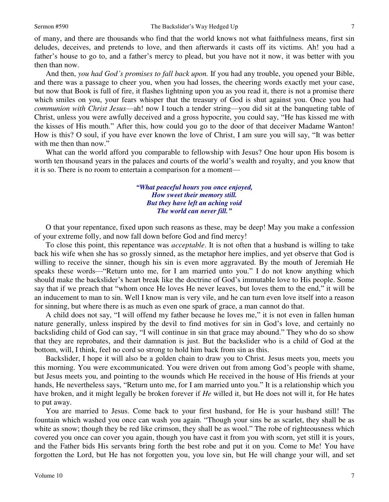of many, and there are thousands who find that the world knows not what faithfulness means, first sin deludes, deceives, and pretends to love, and then afterwards it casts off its victims. Ah! you had a father's house to go to, and a father's mercy to plead, but you have not it now, it was better with you then than now.

And then, *you had God's promises to fall back upon.* If you had any trouble, you opened your Bible, and there was a passage to cheer you, when you had losses, the cheering words exactly met your case, but now that Book is full of fire, it flashes lightning upon you as you read it, there is not a promise there which smiles on you, your fears whisper that the treasury of God is shut against you. Once you had *communion with Christ Jesus*—ah! now I touch a tender string—you did sit at the banqueting table of Christ, unless you were awfully deceived and a gross hypocrite, you could say, "He has kissed me with the kisses of His mouth." After this, how could you go to the door of that deceiver Madame Wanton! How is this? O soul, if you have ever known the love of Christ, I am sure you will say, "It was better with me then than now."

What can the world afford you comparable to fellowship with Jesus? One hour upon His bosom is worth ten thousand years in the palaces and courts of the world's wealth and royalty, and you know that it is so. There is no room to entertain a comparison for a moment—

> *"What peaceful hours you once enjoyed, How sweet their memory still. But they have left an aching void The world can never fill."*

O that your repentance, fixed upon such reasons as these, may be deep! May you make a confession of your extreme folly, and now fall down before God and find mercy!

To close this point, this repentance was *acceptable*. It is not often that a husband is willing to take back his wife when she has so grossly sinned, as the metaphor here implies, and yet observe that God is willing to receive the sinner, though his sin is even more aggravated. By the mouth of Jeremiah He speaks these words—"Return unto me, for I am married unto you." I do not know anything which should make the backslider's heart break like the doctrine of God's immutable love to His people. Some say that if we preach that "whom once He loves He never leaves, but loves them to the end," it will be an inducement to man to sin. Well I know man is very vile, and he can turn even love itself into a reason for sinning, but where there is as much as even one spark of grace, a man cannot do that.

A child does not say, "I will offend my father because he loves me," it is not even in fallen human nature generally, unless inspired by the devil to find motives for sin in God's love, and certainly no backsliding child of God can say, "I will continue in sin that grace may abound." They who do so show that they are reprobates, and their damnation is just. But the backslider who is a child of God at the bottom, will, I think, feel no cord so strong to hold him back from sin as this.

Backslider, I hope it will also be a golden chain to draw you to Christ. Jesus meets you, meets you this morning. You were excommunicated. You were driven out from among God's people with shame, but Jesus meets you, and pointing to the wounds which He received in the house of His friends at your hands, He nevertheless says, "Return unto me, for I am married unto you." It is a relationship which you have broken, and it might legally be broken forever if *He* willed it, but He does not will it, for He hates to put away.

You are married to Jesus. Come back to your first husband, for He is your husband still! The fountain which washed you once can wash you again. "Though your sins be as scarlet, they shall be as white as snow; though they be red like crimson, they shall be as wool." The robe of righteousness which covered you once can cover you again, though you have cast it from you with scorn, yet still it is yours, and the Father bids His servants bring forth the best robe and put it on you. Come to Me! You have forgotten the Lord, but He has not forgotten you, you love sin, but He will change your will, and set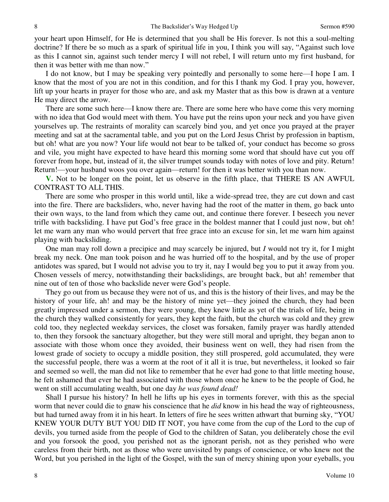your heart upon Himself, for He is determined that you shall be His forever. Is not this a soul-melting doctrine? If there be so much as a spark of spiritual life in you, I think you will say, "Against such love as this I cannot sin, against such tender mercy I will not rebel, I will return unto my first husband, for then it was better with me than now."

I do not know, but I may be speaking very pointedly and personally to some here—I hope I am. I know that the most of you are not in this condition, and for this I thank my God. I pray you, however, lift up your hearts in prayer for those who are, and ask my Master that as this bow is drawn at a venture He may direct the arrow.

There are some such here—I know there are. There are some here who have come this very morning with no idea that God would meet with them. You have put the reins upon your neck and you have given yourselves up. The restraints of morality can scarcely bind you, and yet once you prayed at the prayer meeting and sat at the sacramental table, and you put on the Lord Jesus Christ by profession in baptism, but oh! what are you now? Your life would not bear to be talked of, your conduct has become so gross and vile, you might have expected to have heard this morning some word that should have cut you off forever from hope, but, instead of it, the silver trumpet sounds today with notes of love and pity. Return! Return!—your husband woos you over again—return! for then it was better with you than now.

**V.** Not to be longer on the point, let us observe in the fifth place, that THERE IS AN AWFUL CONTRAST TO ALL THIS.

There are some who prosper in this world until, like a wide-spread tree, they are cut down and cast into the fire. There are backsliders, who, never having had the root of the matter in them, go back unto their own ways, to the land from which they came out, and continue there forever. I beseech you never trifle with backsliding. I have put God's free grace in the boldest manner that I could just now, but oh! let me warn any man who would pervert that free grace into an excuse for sin, let me warn him against playing with backsliding.

One man may roll down a precipice and may scarcely be injured, but *I* would not try it, for I might break my neck. One man took poison and he was hurried off to the hospital, and by the use of proper antidotes was spared, but I would not advise you to try it, nay I would beg you to put it away from you. Chosen vessels of mercy, notwithstanding their backslidings, are brought back, but ah! remember that nine out of ten of those who backslide never were God's people.

They go out from us because they were not of us, and this is the history of their lives, and may be the history of your life, ah! and may be the history of mine yet—they joined the church, they had been greatly impressed under a sermon, they were young, they knew little as yet of the trials of life, being in the church they walked consistently for years, they kept the faith, but the church was cold and they grew cold too, they neglected weekday services, the closet was forsaken, family prayer was hardly attended to, then they forsook the sanctuary altogether, but they were still moral and upright, they began anon to associate with those whom once they avoided, their business went on well, they had risen from the lowest grade of society to occupy a middle position, they still prospered, gold accumulated, they were the successful people, there was a worm at the root of it all it is true, but nevertheless, it looked so fair and seemed so well, the man did not like to remember that he ever had gone to that little meeting house, he felt ashamed that ever he had associated with those whom once he knew to be the people of God, he went on still accumulating wealth, but one day *he was found dead!*

Shall I pursue his history? In hell he lifts up his eyes in torments forever, with this as the special worm that never could die to gnaw his conscience that he *did* know in his head the way of righteousness, but had turned away from it in his heart. In letters of fire he sees written athwart that burning sky, "YOU KNEW YOUR DUTY BUT YOU DID IT NOT, you have come from the cup of the Lord to the cup of devils, you turned aside from the people of God to the children of Satan, you deliberately chose the evil and you forsook the good, you perished not as the ignorant perish, not as they perished who were careless from their birth, not as those who were unvisited by pangs of conscience, or who knew not the Word, but you perished in the light of the Gospel, with the sun of mercy shining upon your eyeballs, you